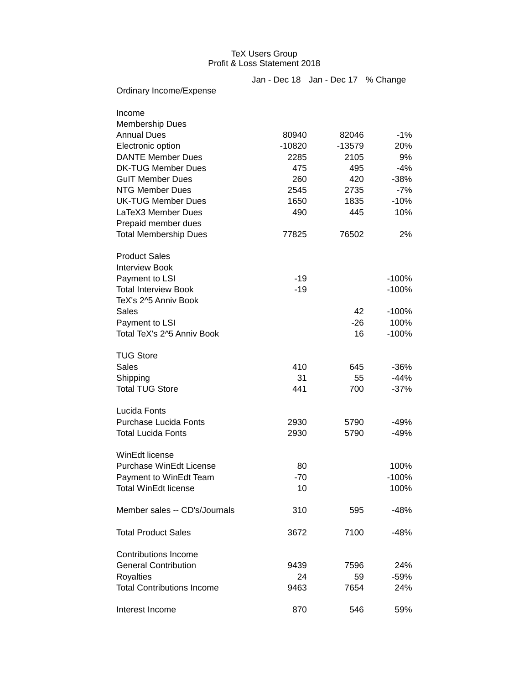## TeX Users Group Profit & Loss Statement 2018

|                                   |          | Jan - Dec 18 Jan - Dec 17 % Change |         |
|-----------------------------------|----------|------------------------------------|---------|
| Ordinary Income/Expense           |          |                                    |         |
| Income                            |          |                                    |         |
| <b>Membership Dues</b>            |          |                                    |         |
| <b>Annual Dues</b>                | 80940    | 82046                              | $-1\%$  |
| Electronic option                 | $-10820$ | $-13579$                           | 20%     |
| <b>DANTE Member Dues</b>          | 2285     | 2105                               | 9%      |
| <b>DK-TUG Member Dues</b>         | 475      | 495                                | $-4%$   |
| <b>GulT Member Dues</b>           | 260      | 420                                | $-38%$  |
| <b>NTG Member Dues</b>            | 2545     | 2735                               | $-7%$   |
| <b>UK-TUG Member Dues</b>         | 1650     | 1835                               | $-10%$  |
| LaTeX3 Member Dues                | 490      | 445                                | 10%     |
| Prepaid member dues               |          |                                    |         |
| <b>Total Membership Dues</b>      | 77825    | 76502                              | 2%      |
| <b>Product Sales</b>              |          |                                    |         |
| <b>Interview Book</b>             |          |                                    |         |
| Payment to LSI                    | $-19$    |                                    | $-100%$ |
| <b>Total Interview Book</b>       | $-19$    |                                    | $-100%$ |
| TeX's 2^5 Anniv Book              |          |                                    |         |
| Sales                             |          | 42                                 | $-100%$ |
| Payment to LSI                    |          | -26                                | 100%    |
| Total TeX's 2^5 Anniv Book        |          | 16                                 | $-100%$ |
| <b>TUG Store</b>                  |          |                                    |         |
| <b>Sales</b>                      | 410      | 645                                | $-36%$  |
| Shipping                          | 31       | 55                                 | $-44%$  |
| <b>Total TUG Store</b>            | 441      | 700                                | $-37%$  |
| Lucida Fonts                      |          |                                    |         |
| <b>Purchase Lucida Fonts</b>      | 2930     | 5790                               | -49%    |
| <b>Total Lucida Fonts</b>         | 2930     | 5790                               | $-49%$  |
| WinEdt license                    |          |                                    |         |
| Purchase WinEdt License           | 80       |                                    | 100%    |
| Payment to WinEdt Team            | $-70$    |                                    | $-100%$ |
| <b>Total WinEdt license</b>       | 10       |                                    | 100%    |
| Member sales -- CD's/Journals     | 310      | 595                                | -48%    |
| <b>Total Product Sales</b>        | 3672     | 7100                               | -48%    |
| <b>Contributions Income</b>       |          |                                    |         |
| <b>General Contribution</b>       | 9439     | 7596                               | 24%     |
| Royalties                         | 24       | 59                                 | $-59%$  |
| <b>Total Contributions Income</b> | 9463     | 7654                               | 24%     |
| Interest Income                   | 870      | 546                                | 59%     |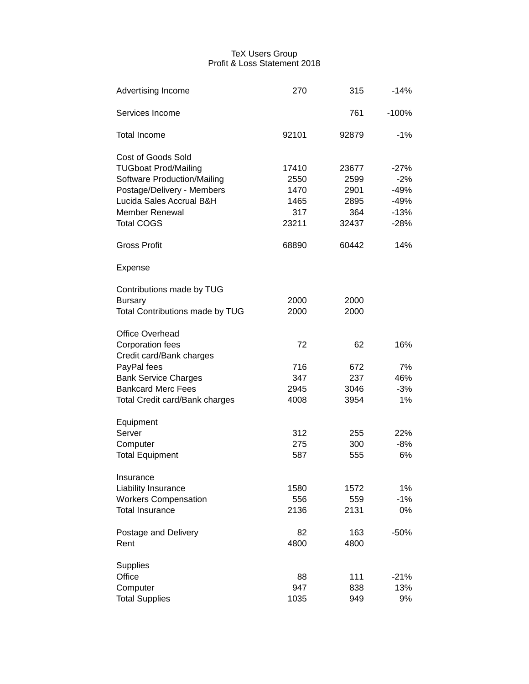## TeX Users Group Profit & Loss Statement 2018

| Advertising Income                    | 270   | 315   | $-14%$  |
|---------------------------------------|-------|-------|---------|
| Services Income                       |       | 761   | $-100%$ |
| <b>Total Income</b>                   | 92101 | 92879 | $-1\%$  |
| Cost of Goods Sold                    |       |       |         |
| <b>TUGboat Prod/Mailing</b>           | 17410 | 23677 | $-27%$  |
| Software Production/Mailing           | 2550  | 2599  | $-2%$   |
| Postage/Delivery - Members            | 1470  | 2901  | $-49%$  |
| Lucida Sales Accrual B&H              | 1465  | 2895  | $-49%$  |
| <b>Member Renewal</b>                 | 317   | 364   | $-13%$  |
| <b>Total COGS</b>                     | 23211 | 32437 | $-28%$  |
| <b>Gross Profit</b>                   | 68890 | 60442 | 14%     |
| Expense                               |       |       |         |
| Contributions made by TUG             |       |       |         |
| <b>Bursary</b>                        | 2000  | 2000  |         |
| Total Contributions made by TUG       | 2000  | 2000  |         |
| Office Overhead                       |       |       |         |
| <b>Corporation fees</b>               | 72    | 62    | 16%     |
| Credit card/Bank charges              |       |       |         |
| PayPal fees                           | 716   | 672   | 7%      |
| <b>Bank Service Charges</b>           | 347   | 237   | 46%     |
| <b>Bankcard Merc Fees</b>             | 2945  | 3046  | $-3%$   |
| <b>Total Credit card/Bank charges</b> | 4008  | 3954  | 1%      |
| Equipment                             |       |       |         |
| Server                                | 312   | 255   | 22%     |
| Computer                              | 275   | 300   | $-8%$   |
| <b>Total Equipment</b>                | 587   | 555   | 6%      |
| Insurance                             |       |       |         |
| Liability Insurance                   | 1580  | 1572  | 1%      |
| <b>Workers Compensation</b>           | 556   | 559   | $-1%$   |
| <b>Total Insurance</b>                | 2136  | 2131  | 0%      |
| Postage and Delivery                  | 82    | 163   | $-50%$  |
| Rent                                  | 4800  | 4800  |         |
| Supplies                              |       |       |         |
| Office                                | 88    | 111   | $-21%$  |
| Computer                              | 947   | 838   | 13%     |
| <b>Total Supplies</b>                 | 1035  | 949   | 9%      |